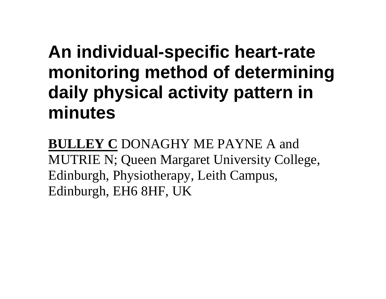# **An individual-specific heart-rate monitoring method of determining daily physical activity pattern in minutes**

**BULLEY C** DONAGHY ME PAYNE A and MUTRIE N; Queen Margaret University College, Edinburgh, Physiotherapy, Leith Campus, Edinburgh, EH6 8HF, UK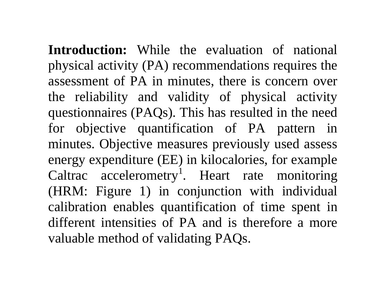**Introduction:** While the evaluation of national physical activity (PA) recommendations requires the assessment of PA in minutes, there is concern over the reliability and validity of physical activity questionnaires (PAQs). This has resulted in the need for objective quantification of PA pattern in minutes. Objective measures previously used assess energy expenditure (EE) in kilocalories, for example Caltrac accelerometry<sup>1</sup>. Heart rate monitoring (HRM: Figure 1) in conjunction with individual calibration enables quantification of time spent in different intensities of PA and is therefore a more valuable method of validating PAQs.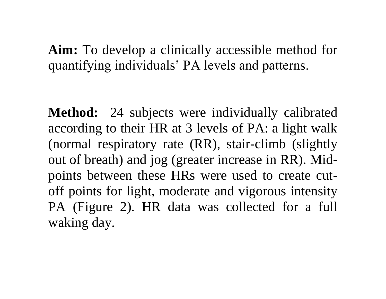## **Aim:** To develop a clinically accessible method for quantifying individuals' PA levels and patterns.

**Method:** 24 subjects were individually calibrated according to their HR at 3 levels of PA: a light walk (normal respiratory rate (RR), stair-climb (slightly out of breath) and jog (greater increase in RR). Midpoints between these HRs were used to create cutoff points for light, moderate and vigorous intensity PA (Figure 2). HR data was collected for a full waking day.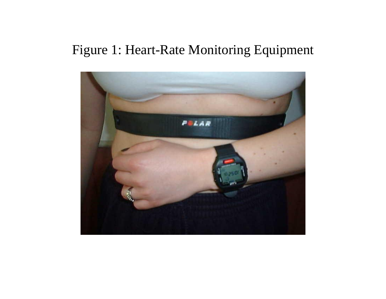## Figure 1: Heart-Rate Monitoring Equipment

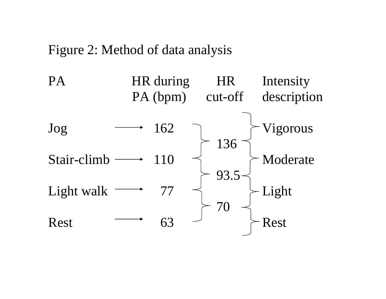#### Figure 2: Method of data analysis

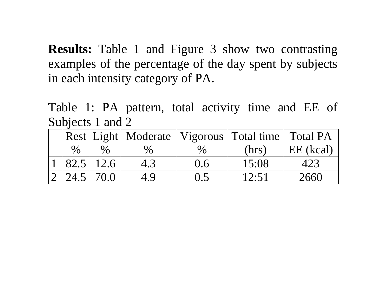**Results:** Table 1 and Figure 3 show two contrasting examples of the percentage of the day spent by subjects in each intensity category of PA.

Table 1: PA pattern, total activity time and EE of Subjects 1 and 2

|      |           |      |       | Rest Light   Moderate   Vigorous   Total time   Total PA |           |
|------|-----------|------|-------|----------------------------------------------------------|-----------|
| $\%$ |           | $\%$ | $\%$  | (hrs)                                                    | EE (kcal) |
|      | 82.5 12.6 | 4.3  | 0.6   | 15:08                                                    | 423       |
|      | 24.5 70.0 | 4.9  | (0.5) | 12:51                                                    | 2660      |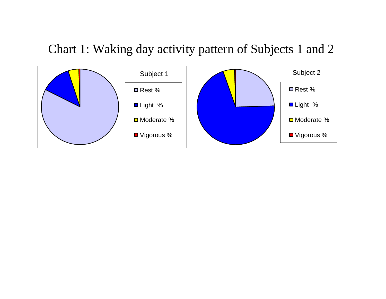### Chart 1: Waking day activity pattern of Subjects 1 and 2